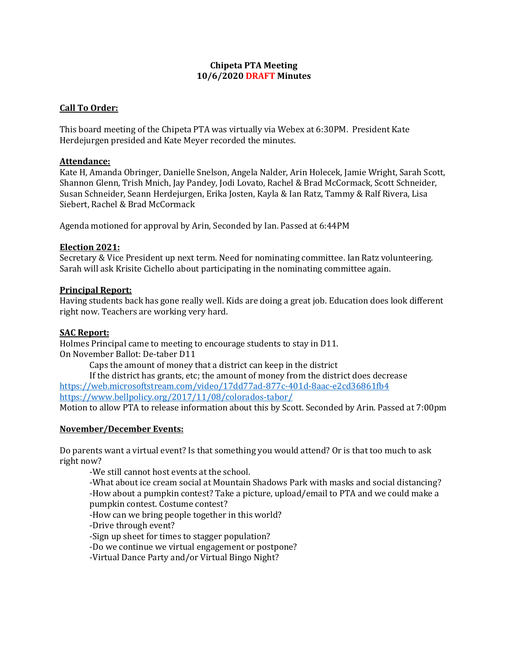# **Chipeta PTA Meeting 10/6/2020 DRAFT Minutes**

# **Call To Order:**

This board meeting of the Chipeta PTA was virtually via Webex at 6:30PM. President Kate Herdejurgen presided and Kate Meyer recorded the minutes.

## **Attendance:**

Kate H, Amanda Obringer, Danielle Snelson, Angela Nalder, Arin Holecek, Jamie Wright, Sarah Scott, Shannon Glenn, Trish Mnich, Jay Pandey, Jodi Lovato, Rachel & Brad McCormack, Scott Schneider, Susan Schneider, Seann Herdejurgen, Erika Josten, Kayla & Ian Ratz, Tammy & Ralf Rivera, Lisa Siebert, Rachel & Brad McCormack

Agenda motioned for approval by Arin, Seconded by Ian. Passed at 6:44PM

## **Election 2021:**

Secretary & Vice President up next term. Need for nominating committee. Ian Ratz volunteering. Sarah will ask Krisite Cichello about participating in the nominating committee again.

#### **Principal Report:**

Having students back has gone really well. Kids are doing a great job. Education does look different right now. Teachers are working very hard.

## **SAC Report:**

Holmes Principal came to meeting to encourage students to stay in D11. On November Ballot: De-taber D11

Caps the amount of money that a district can keep in the district

If the district has grants, etc; the amount of money from the district does decrease <https://web.microsoftstream.com/video/17dd77ad-877c-401d-8aac-e2cd36861fb4> <https://www.bellpolicy.org/2017/11/08/colorados-tabor/> Motion to allow PTA to release information about this by Scott. Seconded by Arin. Passed at 7:00pm

#### **November/December Events:**

Do parents want a virtual event? Is that something you would attend? Or is that too much to ask right now?

-We still cannot host events at the school.

-What about ice cream social at Mountain Shadows Park with masks and social distancing? -How about a pumpkin contest? Take a picture, upload/email to PTA and we could make a pumpkin contest. Costume contest?

-How can we bring people together in this world?

-Drive through event?

-Sign up sheet for times to stagger population?

-Do we continue we virtual engagement or postpone?

-Virtual Dance Party and/or Virtual Bingo Night?